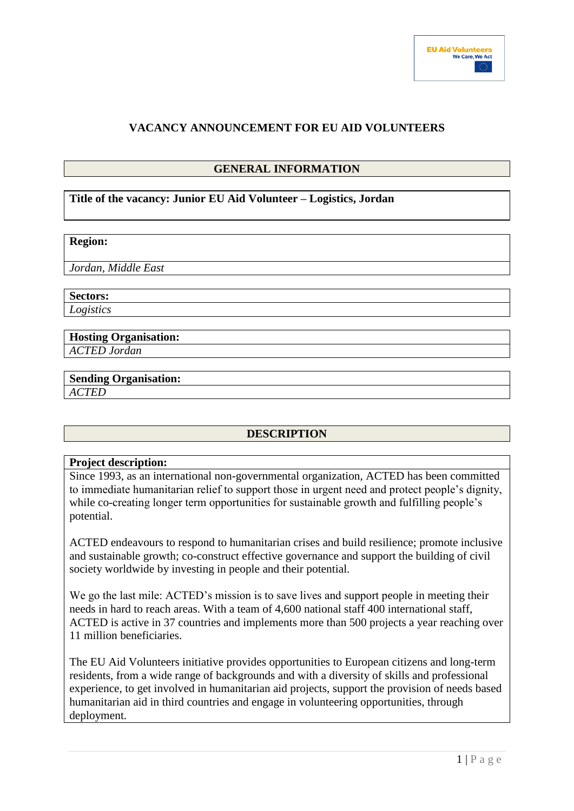# **VACANCY ANNOUNCEMENT FOR EU AID VOLUNTEERS**

# **GENERAL INFORMATION**

## **Title of the vacancy: Junior EU Aid Volunteer – Logistics, Jordan**

### **Region:**

*Jordan, Middle East*

**Sectors:** *Logistics*

**Hosting Organisation:** *ACTED Jordan*

### **Sending Organisation:** *ACTED*

# **DESCRIPTION**

#### **Project description:**

Since 1993, as an international non-governmental organization, ACTED has been committed to immediate humanitarian relief to support those in urgent need and protect people's dignity, while co-creating longer term opportunities for sustainable growth and fulfilling people's potential.

ACTED endeavours to respond to humanitarian crises and build resilience; promote inclusive and sustainable growth; co-construct effective governance and support the building of civil society worldwide by investing in people and their potential.

We go the last mile: ACTED's mission is to save lives and support people in meeting their needs in hard to reach areas. With a team of 4,600 national staff 400 international staff, ACTED is active in 37 countries and implements more than 500 projects a year reaching over 11 million beneficiaries.

The EU Aid Volunteers initiative provides opportunities to European citizens and long-term residents, from a wide range of backgrounds and with a diversity of skills and professional experience, to get involved in humanitarian aid projects, support the provision of needs based humanitarian aid in third countries and engage in volunteering opportunities, through deployment.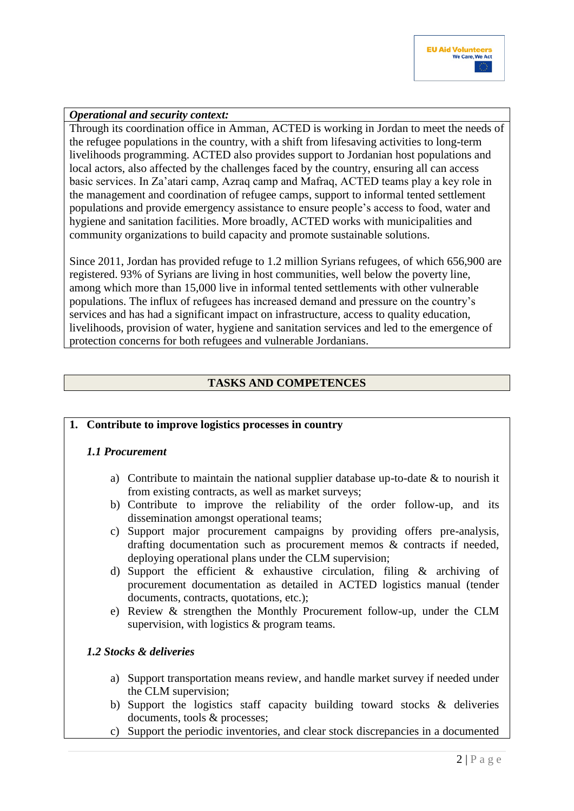# *Operational and security context:*

Through its coordination office in Amman, ACTED is working in Jordan to meet the needs of the refugee populations in the country, with a shift from lifesaving activities to long-term livelihoods programming. ACTED also provides support to Jordanian host populations and local actors, also affected by the challenges faced by the country, ensuring all can access basic services. In Za'atari camp, Azraq camp and Mafraq, ACTED teams play a key role in the management and coordination of refugee camps, support to informal tented settlement populations and provide emergency assistance to ensure people's access to food, water and hygiene and sanitation facilities. More broadly, ACTED works with municipalities and community organizations to build capacity and promote sustainable solutions.

Since 2011, Jordan has provided refuge to 1.2 million Syrians refugees, of which 656,900 are registered. 93% of Syrians are living in host communities, well below the poverty line, among which more than 15,000 live in informal tented settlements with other vulnerable populations. The influx of refugees has increased demand and pressure on the country's services and has had a significant impact on infrastructure, access to quality education, livelihoods, provision of water, hygiene and sanitation services and led to the emergence of protection concerns for both refugees and vulnerable Jordanians.

# **TASKS AND COMPETENCES**

## **1. Contribute to improve logistics processes in country**

## *1.1 Procurement*

- a) Contribute to maintain the national supplier database up-to-date  $\&$  to nourish it from existing contracts, as well as market surveys;
- b) Contribute to improve the reliability of the order follow-up, and its dissemination amongst operational teams;
- c) Support major procurement campaigns by providing offers pre-analysis, drafting documentation such as procurement memos & contracts if needed, deploying operational plans under the CLM supervision;
- d) Support the efficient & exhaustive circulation, filing & archiving of procurement documentation as detailed in ACTED logistics manual (tender documents, contracts, quotations, etc.);
- e) Review & strengthen the Monthly Procurement follow-up, under the CLM supervision, with logistics & program teams.

## *1.2 Stocks & deliveries*

- a) Support transportation means review, and handle market survey if needed under the CLM supervision;
- b) Support the logistics staff capacity building toward stocks & deliveries documents, tools & processes;
- c) Support the periodic inventories, and clear stock discrepancies in a documented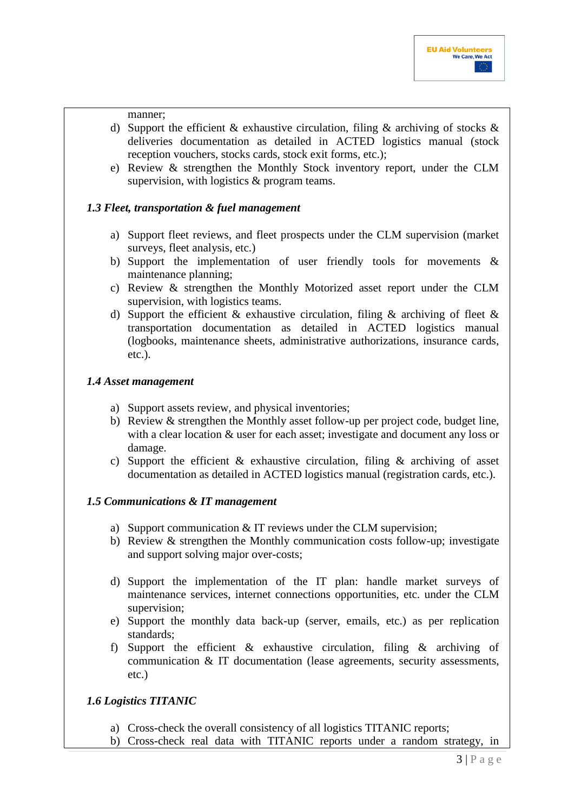#### manner;

- d) Support the efficient & exhaustive circulation, filing & archiving of stocks  $\&$ deliveries documentation as detailed in ACTED logistics manual (stock reception vouchers, stocks cards, stock exit forms, etc.);
- e) Review & strengthen the Monthly Stock inventory report, under the CLM supervision, with logistics & program teams.

## *1.3 Fleet, transportation & fuel management*

- a) Support fleet reviews, and fleet prospects under the CLM supervision (market surveys, fleet analysis, etc.)
- b) Support the implementation of user friendly tools for movements & maintenance planning;
- c) Review & strengthen the Monthly Motorized asset report under the CLM supervision, with logistics teams.
- d) Support the efficient & exhaustive circulation, filing & archiving of fleet  $\&$ transportation documentation as detailed in ACTED logistics manual (logbooks, maintenance sheets, administrative authorizations, insurance cards, etc.).

## *1.4 Asset management*

- a) Support assets review, and physical inventories;
- b) Review & strengthen the Monthly asset follow-up per project code, budget line, with a clear location & user for each asset; investigate and document any loss or damage.
- c) Support the efficient  $\&$  exhaustive circulation, filing  $\&$  archiving of asset documentation as detailed in ACTED logistics manual (registration cards, etc.).

# *1.5 Communications & IT management*

- a) Support communication & IT reviews under the CLM supervision;
- b) Review & strengthen the Monthly communication costs follow-up; investigate and support solving major over-costs;
- d) Support the implementation of the IT plan: handle market surveys of maintenance services, internet connections opportunities, etc. under the CLM supervision;
- e) Support the monthly data back-up (server, emails, etc.) as per replication standards;
- f) Support the efficient & exhaustive circulation, filing & archiving of communication & IT documentation (lease agreements, security assessments, etc.)

# *1.6 Logistics TITANIC*

- a) Cross-check the overall consistency of all logistics TITANIC reports;
- b) Cross-check real data with TITANIC reports under a random strategy, in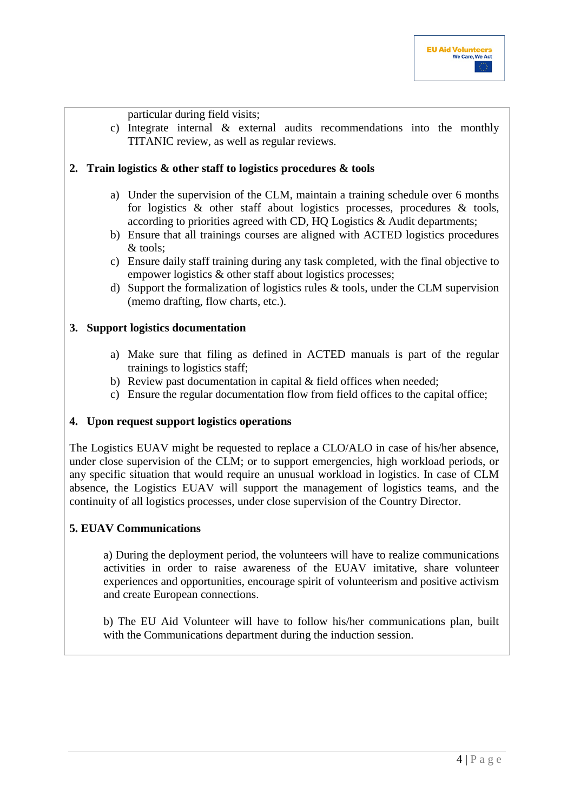## particular during field visits;

c) Integrate internal & external audits recommendations into the monthly TITANIC review, as well as regular reviews.

# **2. Train logistics & other staff to logistics procedures & tools**

- a) Under the supervision of the CLM, maintain a training schedule over 6 months for logistics & other staff about logistics processes, procedures & tools, according to priorities agreed with CD, HQ Logistics & Audit departments;
- b) Ensure that all trainings courses are aligned with ACTED logistics procedures & tools;
- c) Ensure daily staff training during any task completed, with the final objective to empower logistics & other staff about logistics processes;
- d) Support the formalization of logistics rules & tools, under the CLM supervision (memo drafting, flow charts, etc.).

## **3. Support logistics documentation**

- a) Make sure that filing as defined in ACTED manuals is part of the regular trainings to logistics staff;
- b) Review past documentation in capital & field offices when needed;
- c) Ensure the regular documentation flow from field offices to the capital office;

## **4. Upon request support logistics operations**

The Logistics EUAV might be requested to replace a CLO/ALO in case of his/her absence, under close supervision of the CLM; or to support emergencies, high workload periods, or any specific situation that would require an unusual workload in logistics. In case of CLM absence, the Logistics EUAV will support the management of logistics teams, and the continuity of all logistics processes, under close supervision of the Country Director.

## **5. EUAV Communications**

a) During the deployment period, the volunteers will have to realize communications activities in order to raise awareness of the EUAV imitative, share volunteer experiences and opportunities, encourage spirit of volunteerism and positive activism and create European connections.

b) The EU Aid Volunteer will have to follow his/her communications plan, built with the Communications department during the induction session.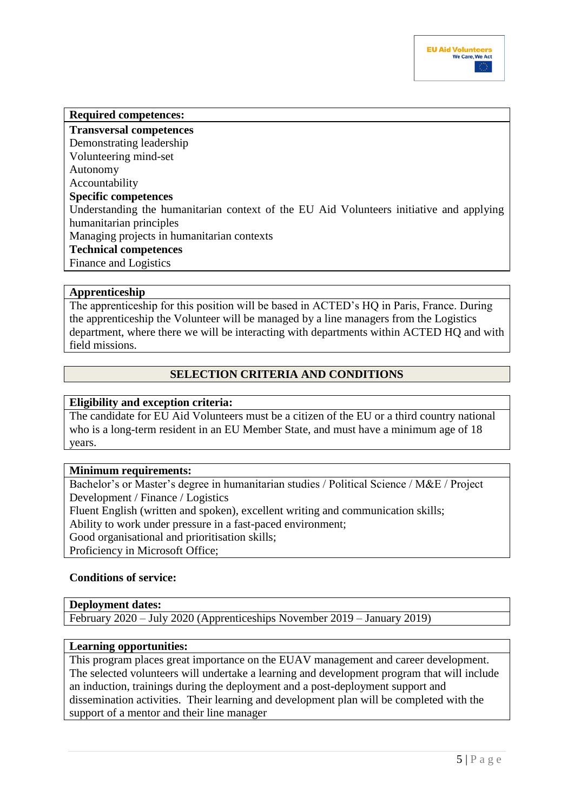# **Required competences:**

**Transversal competences**  Demonstrating leadership Volunteering mind-set Autonomy Accountability **Specific competences**  Understanding the humanitarian context of the EU Aid Volunteers initiative and applying humanitarian principles Managing projects in humanitarian contexts **Technical competences**  Finance and Logistics

### **Apprenticeship**

The apprenticeship for this position will be based in ACTED's HQ in Paris, France. During the apprenticeship the Volunteer will be managed by a line managers from the Logistics department, where there we will be interacting with departments within ACTED HQ and with field missions.

# **SELECTION CRITERIA AND CONDITIONS**

### **Eligibility and exception criteria:**

The candidate for EU Aid Volunteers must be a citizen of the EU or a third country national who is a long-term resident in an EU Member State, and must have a minimum age of 18 years.

#### **Minimum requirements:**

Bachelor's or Master's degree in humanitarian studies / Political Science / M&E / Project Development / Finance / Logistics Fluent English (written and spoken), excellent writing and communication skills; Ability to work under pressure in a fast-paced environment; Good organisational and prioritisation skills; Proficiency in Microsoft Office;

## **Conditions of service:**

### **Deployment dates:**

February 2020 – July 2020 (Apprenticeships November 2019 – January 2019)

#### **Learning opportunities:**

This program places great importance on the EUAV management and career development. The selected volunteers will undertake a learning and development program that will include an induction, trainings during the deployment and a post-deployment support and dissemination activities. Their learning and development plan will be completed with the support of a mentor and their line manager